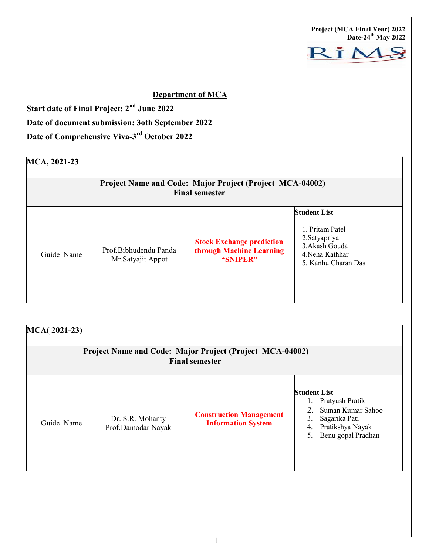Project (MCA Final Year) 2022 Date-24<sup>th</sup> May 2022



## Department of MCA

Start date of Final Project: 2<sup>nd</sup> June 2022

Date of document submission: 3oth September 2022

Date of Comprehensive Viva-3rd October 2022

# MCA, 2021-23

| Project Name and Code: Major Project (Project MCA-04002)<br><b>Final semester</b> |                                            |                                                                          |                                                                                                                     |  |  |
|-----------------------------------------------------------------------------------|--------------------------------------------|--------------------------------------------------------------------------|---------------------------------------------------------------------------------------------------------------------|--|--|
| Guide Name                                                                        | Prof.Bibhudendu Panda<br>Mr.Satyajit Appot | <b>Stock Exchange prediction</b><br>through Machine Learning<br>"SNIPER" | <b>Student List</b><br>1. Pritam Patel<br>2. Satyapriya<br>3. Akash Gouda<br>4. Neha Kathhar<br>5. Kanhu Charan Das |  |  |

| MCA(2021-23)<br>Project Name and Code: Major Project (Project MCA-04002)<br><b>Final semester</b> |                                        |                                                             |                                                                                                                                          |  |  |  |
|---------------------------------------------------------------------------------------------------|----------------------------------------|-------------------------------------------------------------|------------------------------------------------------------------------------------------------------------------------------------------|--|--|--|
| Guide Name                                                                                        | Dr. S.R. Mohanty<br>Prof.Damodar Nayak | <b>Construction Management</b><br><b>Information System</b> | <b>Student List</b><br>Pratyush Pratik<br>Suman Kumar Sahoo<br>Sagarika Pati<br>3.<br>Pratikshya Nayak<br>4.<br>Benu gopal Pradhan<br>5. |  |  |  |

1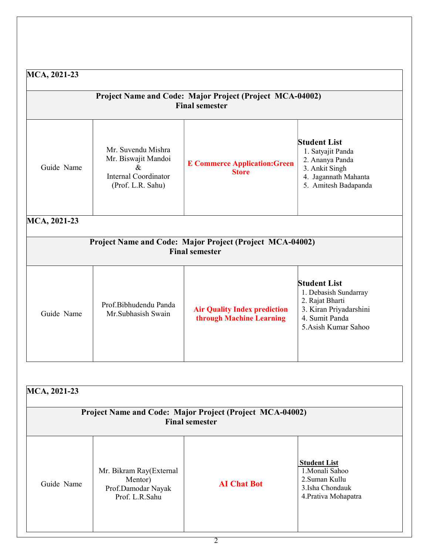| MCA, 2021-23<br>Project Name and Code: Major Project (Project MCA-04002)<br><b>Final semester</b><br><b>Student List</b><br>Mr. Suvendu Mishra<br>1. Satyajit Panda<br>Mr. Biswajit Mandoi<br>2. Ananya Panda<br><b>E Commerce Application: Green</b><br>Guide Name<br>$\&$<br>3. Ankit Singh<br><b>Store</b><br><b>Internal Coordinator</b><br>4. Jagannath Mahanta<br>(Prof. L.R. Sahu)<br>5. Amitesh Badapanda |                                             |                                                                 |                                                                                                                                    |  |  |  |
|-------------------------------------------------------------------------------------------------------------------------------------------------------------------------------------------------------------------------------------------------------------------------------------------------------------------------------------------------------------------------------------------------------------------|---------------------------------------------|-----------------------------------------------------------------|------------------------------------------------------------------------------------------------------------------------------------|--|--|--|
|                                                                                                                                                                                                                                                                                                                                                                                                                   |                                             |                                                                 |                                                                                                                                    |  |  |  |
| Guide Name                                                                                                                                                                                                                                                                                                                                                                                                        | Prof.Bibhudendu Panda<br>Mr.Subhasish Swain | <b>Air Quality Index prediction</b><br>through Machine Learning | <b>Student List</b><br>1. Debasish Sundarray<br>2. Rajat Bharti<br>3. Kiran Priyadarshini<br>4. Sumit Panda<br>5.Asish Kumar Sahoo |  |  |  |

| Project Name and Code: Major Project (Project MCA-04002)<br><b>Final semester</b> |                                                                            |                    |                                                                                                    |  |  |
|-----------------------------------------------------------------------------------|----------------------------------------------------------------------------|--------------------|----------------------------------------------------------------------------------------------------|--|--|
| Guide Name                                                                        | Mr. Bikram Ray(External<br>Mentor)<br>Prof.Damodar Nayak<br>Prof. L.R.Sahu | <b>AI</b> Chat Bot | <b>Student List</b><br>1.Monali Sahoo<br>2. Suman Kullu<br>3.Isha Chondauk<br>4. Prativa Mohapatra |  |  |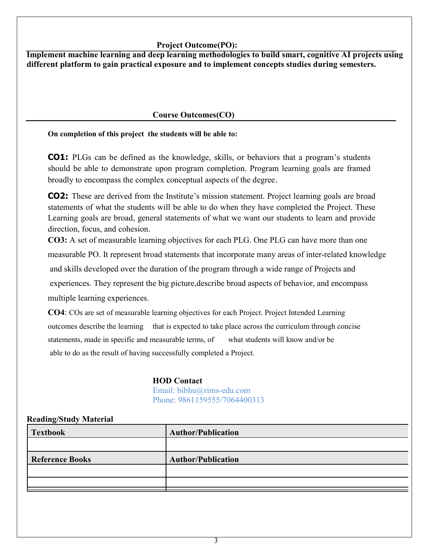#### Project Outcome(PO):

Implement machine learning and deep learning methodologies to build smart, cognitive AI projects using different platform to gain practical exposure and to implement concepts studies during semesters.

## Course Outcomes(CO)

On completion of this project the students will be able to:

CO1: PLGs can be defined as the knowledge, skills, or behaviors that a program's students should be able to demonstrate upon program completion. Program learning goals are framed broadly to encompass the complex conceptual aspects of the degree.

CO2: These are derived from the Institute's mission statement. Project learning goals are broad statements of what the students will be able to do when they have completed the Project. These Learning goals are broad, general statements of what we want our students to learn and provide direction, focus, and cohesion.

CO3: A set of measurable learning objectives for each PLG. One PLG can have more than one measurable PO. It represent broad statements that incorporate many areas of inter-related knowledge and skills developed over the duration of the program through a wide range of Projects and experiences. They represent the big picture,describe broad aspects of behavior, and encompass multiple learning experiences.

CO4: COs are set of measurable learning objectives for each Project. Project Intended Learning outcomes describe the learning that is expected to take place across the curriculum through concise statements, made in specific and measurable terms, of what students will know and/or be able to do as the result of having successfully completed a Project.

#### HOD Contact

Email: bibhu@rims-edu.com Phone: 9861159555/7064400313

#### Reading/Study Material

| Textbook               | <b>Author/Publication</b> |
|------------------------|---------------------------|
|                        |                           |
| <b>Reference Books</b> | <b>Author/Publication</b> |
|                        |                           |
|                        |                           |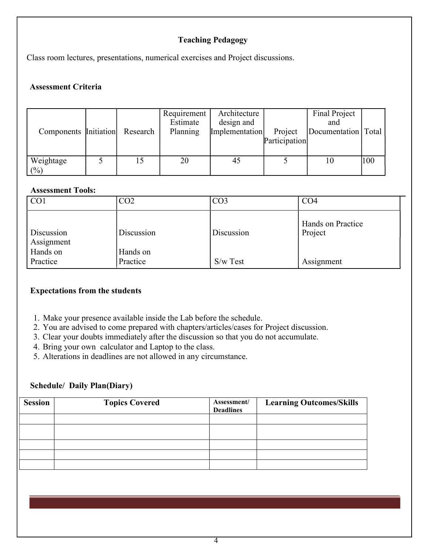## Teaching Pedagogy

Class room lectures, presentations, numerical exercises and Project discussions.

#### Assessment Criteria

| Components Initiation | Research | Requirement  <br>Estimate<br>Planning | Architecture<br>design and<br>Implementation | Project<br>Participation | Final Project<br>and<br>Documentation   Total |     |
|-----------------------|----------|---------------------------------------|----------------------------------------------|--------------------------|-----------------------------------------------|-----|
| Weightage<br>(%)      |          | 20                                    | 45                                           |                          | 10                                            | 100 |

#### Assessment Tools:

| CO <sub>1</sub>          | CO <sub>2</sub> | CO <sub>3</sub> | CO <sub>4</sub>              |
|--------------------------|-----------------|-----------------|------------------------------|
| Discussion<br>Assignment | Discussion      | Discussion      | Hands on Practice<br>Project |
| Hands on                 | Hands on        |                 |                              |
| Practice                 | Practice        | $S/w$ Test      | Assignment                   |

### Expectations from the students

- 1. Make your presence available inside the Lab before the schedule.
- 2. You are advised to come prepared with chapters/articles/cases for Project discussion.
- 3. Clear your doubts immediately after the discussion so that you do not accumulate.
- 4. Bring your own calculator and Laptop to the class.
- 5. Alterations in deadlines are not allowed in any circumstance.

#### Schedule/ Daily Plan(Diary)

| <b>Session</b> | <b>Topics Covered</b> | Assessment/<br><b>Deadlines</b> | <b>Learning Outcomes/Skills</b> |
|----------------|-----------------------|---------------------------------|---------------------------------|
|                |                       |                                 |                                 |
|                |                       |                                 |                                 |
|                |                       |                                 |                                 |
|                |                       |                                 |                                 |
|                |                       |                                 |                                 |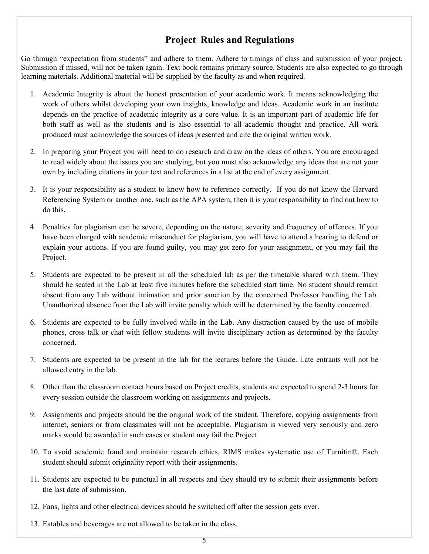## Project Rules and Regulations

Go through "expectation from students" and adhere to them. Adhere to timings of class and submission of your project. Submission if missed, will not be taken again. Text book remains primary source. Students are also expected to go through learning materials. Additional material will be supplied by the faculty as and when required.

- 1. Academic Integrity is about the honest presentation of your academic work. It means acknowledging the work of others whilst developing your own insights, knowledge and ideas. Academic work in an institute depends on the practice of academic integrity as a core value. It is an important part of academic life for both staff as well as the students and is also essential to all academic thought and practice. All work produced must acknowledge the sources of ideas presented and cite the original written work.
- 2. In preparing your Project you will need to do research and draw on the ideas of others. You are encouraged to read widely about the issues you are studying, but you must also acknowledge any ideas that are not your own by including citations in your text and references in a list at the end of every assignment.
- 3. It is your responsibility as a student to know how to reference correctly. If you do not know the Harvard Referencing System or another one, such as the APA system, then it is your responsibility to find out how to do this.
- 4. Penalties for plagiarism can be severe, depending on the nature, severity and frequency of offences. If you have been charged with academic misconduct for plagiarism, you will have to attend a hearing to defend or explain your actions. If you are found guilty, you may get zero for your assignment, or you may fail the Project.
- 5. Students are expected to be present in all the scheduled lab as per the timetable shared with them. They should be seated in the Lab at least five minutes before the scheduled start time. No student should remain absent from any Lab without intimation and prior sanction by the concerned Professor handling the Lab. Unauthorized absence from the Lab will invite penalty which will be determined by the faculty concerned.
- 6. Students are expected to be fully involved while in the Lab. Any distraction caused by the use of mobile phones, cross talk or chat with fellow students will invite disciplinary action as determined by the faculty concerned.
- 7. Students are expected to be present in the lab for the lectures before the Guide. Late entrants will not be allowed entry in the lab.
- 8. Other than the classroom contact hours based on Project credits, students are expected to spend 2-3 hours for every session outside the classroom working on assignments and projects.
- 9. Assignments and projects should be the original work of the student. Therefore, copying assignments from internet, seniors or from classmates will not be acceptable. Plagiarism is viewed very seriously and zero marks would be awarded in such cases or student may fail the Project.
- 10. To avoid academic fraud and maintain research ethics, RIMS makes systematic use of Turnitin®. Each student should submit originality report with their assignments.
- 11. Students are expected to be punctual in all respects and they should try to submit their assignments before the last date of submission.
- 12. Fans, lights and other electrical devices should be switched off after the session gets over.
- 13. Eatables and beverages are not allowed to be taken in the class.